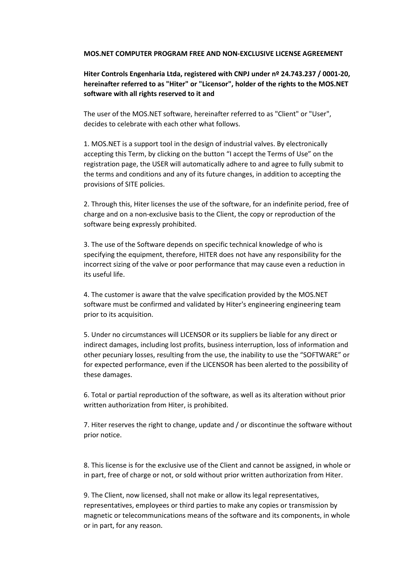## MOS.NET COMPUTER PROGRAM FREE AND NON-EXCLUSIVE LICENSE AGREEMENT

## Hiter Controls Engenharia Ltda, registered with CNPJ under nº 24.743.237 / 0001-20, hereinafter referred to as "Hiter" or "Licensor", holder of the rights to the MOS.NET software with all rights reserved to it and

The user of the MOS.NET software, hereinafter referred to as "Client" or "User", decides to celebrate with each other what follows.

1. MOS.NET is a support tool in the design of industrial valves. By electronically accepting this Term, by clicking on the button "I accept the Terms of Use" on the registration page, the USER will automatically adhere to and agree to fully submit to the terms and conditions and any of its future changes, in addition to accepting the provisions of SITE policies.

2. Through this, Hiter licenses the use of the software, for an indefinite period, free of charge and on a non-exclusive basis to the Client, the copy or reproduction of the software being expressly prohibited.

3. The use of the Software depends on specific technical knowledge of who is specifying the equipment, therefore, HITER does not have any responsibility for the incorrect sizing of the valve or poor performance that may cause even a reduction in its useful life.

4. The customer is aware that the valve specification provided by the MOS.NET software must be confirmed and validated by Hiter's engineering engineering team prior to its acquisition.

5. Under no circumstances will LICENSOR or its suppliers be liable for any direct or indirect damages, including lost profits, business interruption, loss of information and other pecuniary losses, resulting from the use, the inability to use the "SOFTWARE" or for expected performance, even if the LICENSOR has been alerted to the possibility of these damages.

6. Total or partial reproduction of the software, as well as its alteration without prior written authorization from Hiter, is prohibited.

7. Hiter reserves the right to change, update and / or discontinue the software without prior notice.

8. This license is for the exclusive use of the Client and cannot be assigned, in whole or in part, free of charge or not, or sold without prior written authorization from Hiter.

9. The Client, now licensed, shall not make or allow its legal representatives, representatives, employees or third parties to make any copies or transmission by magnetic or telecommunications means of the software and its components, in whole or in part, for any reason.